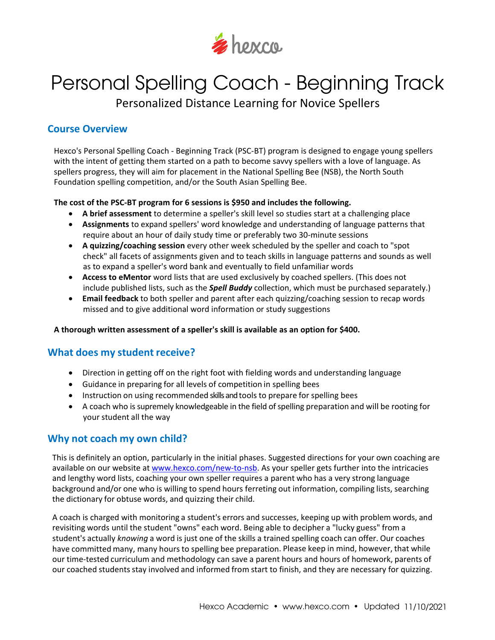

# Personal Spelling Coach - Beginning Track

Personalized Distance Learning for Novice Spellers

## **Course Overview**

Hexco's Personal Spelling Coach - Beginning Track (PSC-BT) program is designed to engage young spellers with the intent of getting them started on a path to become savvy spellers with a love of language. As spellers progress, they will aim for placement in the National Spelling Bee (NSB), the North South Foundation spelling competition, and/or the South Asian Spelling Bee.

#### **The cost of the PSC-BT program for 6 sessions is \$950 and includes the following.**

- **A brief assessment** to determine a speller's skill level so studies start at a challenging place
- **Assignments** to expand spellers' word knowledge and understanding of language patterns that require about an hour of daily study time or preferably two 30-minute sessions
- **A quizzing/coaching session** every other week scheduled by the speller and coach to "spot check" all facets of assignments given and to teach skills in language patterns and sounds as well as to expand a speller's word bank and eventually to field unfamiliar words
- **Access to eMentor** word lists that are used exclusively by coached spellers. (This does not include published lists, such as the *Spell Buddy* collection, which must be purchased separately.)
- **Email feedback** to both speller and parent after each quizzing/coaching session to recap words missed and to give additional word information or study suggestions

**A thorough written assessment of a speller's skill is available as an option for \$400.**

## **What does my student receive?**

- Direction in getting off on the right foot with fielding words and understanding language
- Guidance in preparing for all levels of competition in spelling bees
- Instruction on using recommended skills and tools to prepare for spelling bees
- A coach who is supremely knowledgeable in the field of spelling preparation and will be rooting for your student all the way

## **Why not coach my own child?**

This is definitely an option, particularly in the initial phases. Suggested directions for your own coaching are available on our website at [www.hexco.com/new-to-nsb.](https://www.hexco.com/new-to-nsb/) As your speller gets further into the intricacies and lengthy word lists, coaching your own speller requires a parent who has a very strong language background and/or one who is willing to spend hours ferreting out information, compiling lists, searching the dictionary for obtuse words, and quizzing their child.

A coach is charged with monitoring a student's errors and successes, keeping up with problem words, and revisiting words until the student "owns" each word. Being able to decipher a "lucky guess" from a student's actually *knowing* a word is just one of the skills a trained spelling coach can offer. Our coaches have committed many, many hours to spelling bee preparation. Please keep in mind, however, that while our time‐tested curriculum and methodology can save a parent hours and hours of homework, parents of our coached students stay involved and informed from start to finish, and they are necessary for quizzing.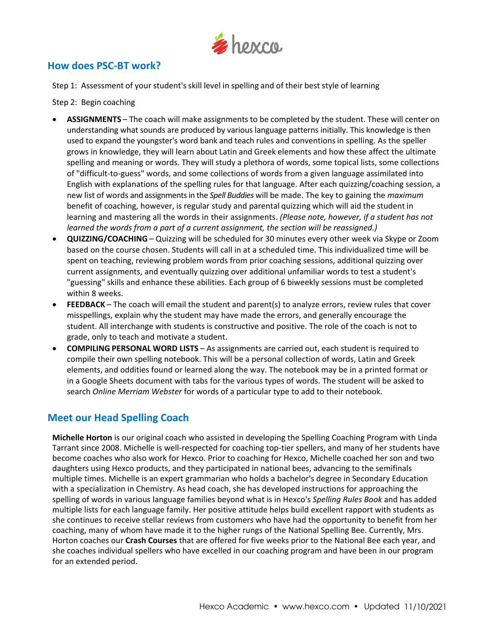

## **How does PSC-BT work?**

Step 1: Assessment of your student'sskill level in spelling and of their best style of learning

Step 2: Begin coaching

- **ASSIGNMENTS** The coach will make assignments to be completed by the student. These will center on understanding what sounds are produced by various language patterns initially. This knowledge is then used to expand the youngster's word bank and teach rules and conventionsin spelling. As the speller grows in knowledge, they will learn about Latin and Greek elements and how these affect the ultimate spelling and meaning or words. They will study a plethora of words, some topical lists, some collections of "difficult-to-guess" words, and some collections of words from a given language assimilated into English with explanations of the spelling rules for that language. After each quizzing/coaching session, a new list of words and assignments in the *Spell Buddies* will be made. The key to gaining the *maximum* benefit of coaching, however, is regular study and parental quizzing which will aid the student in learning and mastering all the words in their assignments. *(Please note, however, if a student has not learned the words from a part of a current assignment, the section will be reassigned.)*
- **QUIZZING/COACHING** Quizzing will be scheduled for 30 minutes every other week via Skype or Zoom based on the course chosen. Students will call in at a scheduled time. This individualized time will be spent on teaching, reviewing problem words from prior coaching sessions, additional quizzing over current assignments, and eventually quizzing over additional unfamiliar words to test a student's "guessing" skills and enhance these abilities. Each group of 6 biweekly sessions must be completed within 8 weeks.
- **FEEDBACK** The coach will email the student and parent(s) to analyze errors, review rules that cover misspellings, explain why the student may have made the errors, and generally encourage the student. All interchange with students is constructive and positive. The role of the coach is not to grade, only to teach and motivate a student.
- **COMPILING PERSONAL WORD LISTS** As assignments are carried out, each student is required to compile their own spelling notebook. This will be a personal collection of words, Latin and Greek elements, and oddities found or learned along the way. The notebook may be in a printed format or in a Google Sheets document with tabs for the various types of words. The student will be asked to search *Online Merriam Webster* for words of a particular type to add to their notebook.

## **Meet our Head Spelling Coach**

**Michelle Horton** is our original coach who assisted in developing the Spelling Coaching Program with Linda Tarrant since 2008. Michelle is well-respected for coaching top-tier spellers, and many of her students have become coaches who also work for Hexco. Prior to coaching for Hexco, Michelle coached her son and two daughters using Hexco products, and they participated in national bees, advancing to the semifinals multiple times. Michelle is an expert grammarian who holds a bachelor's degree in Secondary Education with a specialization in Chemistry. As head coach, she has developed instructions for approaching the spelling of words in various language families beyond what is in Hexco's *Spelling Rules Book* and has added multiple lists for each language family. Her positive attitude helps build excellent rapport with students as she continues to receive stellar reviews from customers who have had the opportunity to benefit from her coaching, many of whom have made it to the higher rungs of the National Spelling Bee. Currently, Mrs. Horton coaches our **Crash Courses** that are offered for five weeks prior to the National Bee each year, and she coaches individual spellers who have excelled in our coaching program and have been in our program for an extended period.